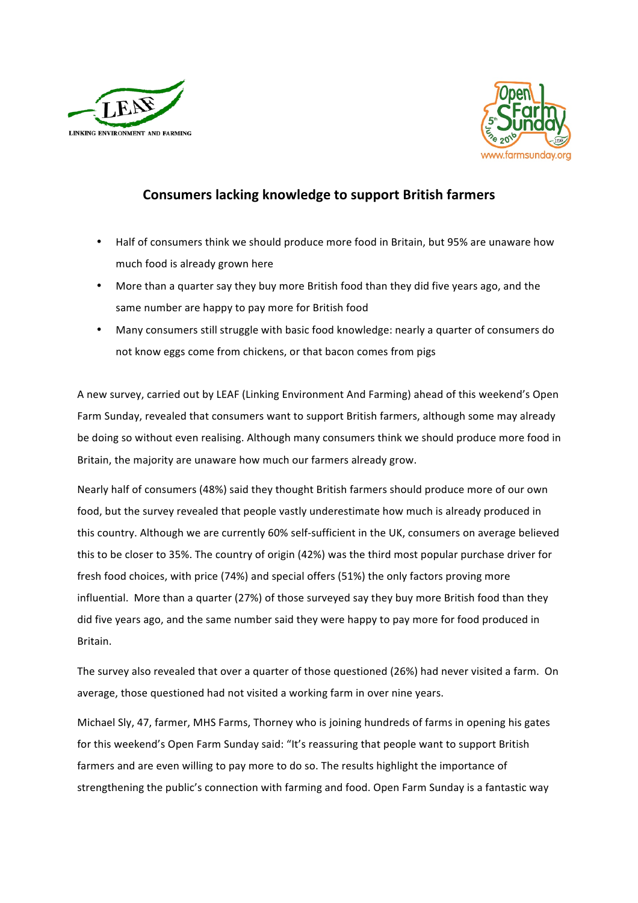



## **Consumers lacking knowledge to support British farmers**

- Half of consumers think we should produce more food in Britain, but 95% are unaware how much food is already grown here
- More than a quarter say they buy more British food than they did five years ago, and the same number are happy to pay more for British food
- Many consumers still struggle with basic food knowledge: nearly a quarter of consumers do not know eggs come from chickens, or that bacon comes from pigs

A new survey, carried out by LEAF (Linking Environment And Farming) ahead of this weekend's Open Farm Sunday, revealed that consumers want to support British farmers, although some may already be doing so without even realising. Although many consumers think we should produce more food in Britain, the majority are unaware how much our farmers already grow.

Nearly half of consumers (48%) said they thought British farmers should produce more of our own food, but the survey revealed that people vastly underestimate how much is already produced in this country. Although we are currently 60% self-sufficient in the UK, consumers on average believed this to be closer to 35%. The country of origin (42%) was the third most popular purchase driver for fresh food choices, with price (74%) and special offers (51%) the only factors proving more influential. More than a quarter (27%) of those surveyed say they buy more British food than they did five years ago, and the same number said they were happy to pay more for food produced in Britain. 

The survey also revealed that over a quarter of those questioned (26%) had never visited a farm. On average, those questioned had not visited a working farm in over nine years.

Michael Sly, 47, farmer, MHS Farms, Thorney who is joining hundreds of farms in opening his gates for this weekend's Open Farm Sunday said: "It's reassuring that people want to support British farmers and are even willing to pay more to do so. The results highlight the importance of strengthening the public's connection with farming and food. Open Farm Sunday is a fantastic way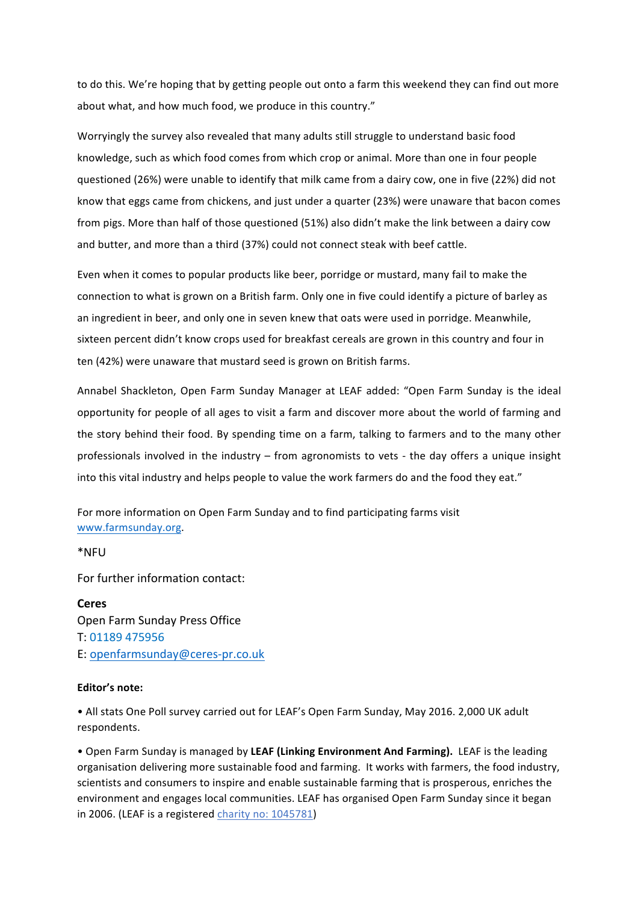to do this. We're hoping that by getting people out onto a farm this weekend they can find out more about what, and how much food, we produce in this country."

Worryingly the survey also revealed that many adults still struggle to understand basic food knowledge, such as which food comes from which crop or animal. More than one in four people questioned (26%) were unable to identify that milk came from a dairy cow, one in five (22%) did not know that eggs came from chickens, and just under a quarter (23%) were unaware that bacon comes from pigs. More than half of those questioned (51%) also didn't make the link between a dairy cow and butter, and more than a third (37%) could not connect steak with beef cattle.

Even when it comes to popular products like beer, porridge or mustard, many fail to make the connection to what is grown on a British farm. Only one in five could identify a picture of barley as an ingredient in beer, and only one in seven knew that oats were used in porridge. Meanwhile, sixteen percent didn't know crops used for breakfast cereals are grown in this country and four in ten (42%) were unaware that mustard seed is grown on British farms.

Annabel Shackleton, Open Farm Sunday Manager at LEAF added: "Open Farm Sunday is the ideal opportunity for people of all ages to visit a farm and discover more about the world of farming and the story behind their food. By spending time on a farm, talking to farmers and to the many other professionals involved in the industry – from agronomists to vets - the day offers a unique insight into this vital industry and helps people to value the work farmers do and the food they eat."

For more information on Open Farm Sunday and to find participating farms visit www.farmsunday.org. 

\*NFU

For further information contact:

**Ceres**  Open Farm Sunday Press Office T: 01189 475956 E: openfarmsunday@ceres-pr.co.uk

## **Editor's note:**

• All stats One Poll survey carried out for LEAF's Open Farm Sunday, May 2016. 2,000 UK adult respondents.

• Open Farm Sunday is managed by LEAF (Linking Environment And Farming). LEAF is the leading organisation delivering more sustainable food and farming. It works with farmers, the food industry, scientists and consumers to inspire and enable sustainable farming that is prosperous, enriches the environment and engages local communities. LEAF has organised Open Farm Sunday since it began in 2006. (LEAF is a registered charity no: 1045781)